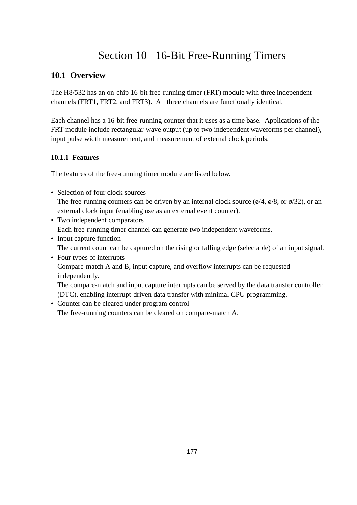# Section 10 16-Bit Free-Running Timers

# **10.1 Overview**

The H8/532 has an on-chip 16-bit free-running timer (FRT) module with three independent channels (FRT1, FRT2, and FRT3). All three channels are functionally identical.

Each channel has a 16-bit free-running counter that it uses as a time base. Applications of the FRT module include rectangular-wave output (up to two independent waveforms per channel), input pulse width measurement, and measurement of external clock periods.

### **10.1.1 Features**

The features of the free-running timer module are listed below.

• Selection of four clock sources

The free-running counters can be driven by an internal clock source ( $\phi$ /4,  $\phi$ /8, or  $\phi$ /32), or an external clock input (enabling use as an external event counter).

- Two independent comparators Each free-running timer channel can generate two independent waveforms.
- Input capture function The current count can be captured on the rising or falling edge (selectable) of an input signal.
- Four types of interrupts

Compare-match A and B, input capture, and overflow interrupts can be requested independently.

The compare-match and input capture interrupts can be served by the data transfer controller (DTC), enabling interrupt-driven data transfer with minimal CPU programming.

• Counter can be cleared under program control

The free-running counters can be cleared on compare-match A.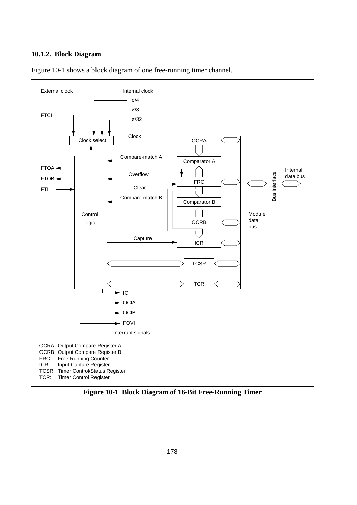#### **10.1.2. Block Diagram**



Figure 10-1 shows a block diagram of one free-running timer channel.

**Figure 10-1 Block Diagram of 16-Bit Free-Running Timer**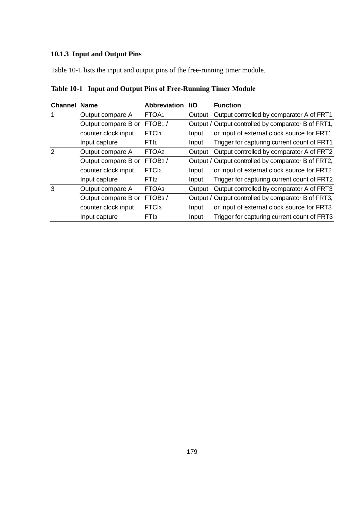# **10.1.3 Input and Output Pins**

Table 10-1 lists the input and output pins of the free-running timer module.

|  |  | Table 10-1 Input and Output Pins of Free-Running Timer Module |  |  |
|--|--|---------------------------------------------------------------|--|--|
|--|--|---------------------------------------------------------------|--|--|

| <b>Channel Name</b> |                     | <b>Abbreviation</b> | <b>VO</b> | <b>Function</b>                                     |
|---------------------|---------------------|---------------------|-----------|-----------------------------------------------------|
| 1                   | Output compare A    | FTOA <sub>1</sub>   | Output    | Output controlled by comparator A of FRT1           |
|                     | Output compare B or | FTOB <sub>1</sub> / |           | Output / Output controlled by comparator B of FRT1, |
|                     | counter clock input | FTC <sub>11</sub>   | Input     | or input of external clock source for FRT1          |
|                     | Input capture       | FT <sub>I1</sub>    | Input     | Trigger for capturing current count of FRT1         |
| $\mathfrak{p}$      | Output compare A    | FTOA <sub>2</sub>   | Output    | Output controlled by comparator A of FRT2           |
|                     | Output compare B or | FTOB2/              |           | Output / Output controlled by comparator B of FRT2, |
|                     | counter clock input | FTC <sub>l2</sub>   | Input     | or input of external clock source for FRT2          |
|                     | Input capture       | FTI <sub>2</sub>    | Input     | Trigger for capturing current count of FRT2         |
| 3                   | Output compare A    | FTOA3               | Output    | Output controlled by comparator A of FRT3           |
|                     | Output compare B or | FTOB <sub>3</sub> / |           | Output / Output controlled by comparator B of FRT3, |
|                     | counter clock input | FTC <sub>l3</sub>   | Input     | or input of external clock source for FRT3          |
|                     | Input capture       | FT <sub>I3</sub>    | Input     | Trigger for capturing current count of FRT3         |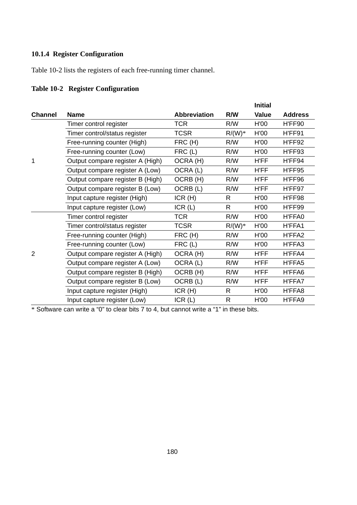### **10.1.4 Register Configuration**

Table 10-2 lists the registers of each free-running timer channel.

# **Table 10-2 Register Configuration**

|                |                                  |                     |          | <b>Initial</b> |                |
|----------------|----------------------------------|---------------------|----------|----------------|----------------|
| <b>Channel</b> | <b>Name</b>                      | <b>Abbreviation</b> | R/W      | <b>Value</b>   | <b>Address</b> |
|                | Timer control register           | <b>TCR</b>          | R/W      | H'00           | H'FF90         |
|                | Timer control/status register    | TCSR                | $R/(W)*$ | H'00           | H'FF91         |
|                | Free-running counter (High)      | FRC (H)             | R/W      | H'00           | H'FF92         |
|                | Free-running counter (Low)       | FRC(L)              | R/W      | H'00           | H'FF93         |
| 1              | Output compare register A (High) | OCRA (H)            | R/W      | <b>H'FF</b>    | H'FF94         |
|                | Output compare register A (Low)  | OCRA (L)            | R/W      | <b>H'FF</b>    | H'FF95         |
|                | Output compare register B (High) | OCRB (H)            | R/W      | <b>H'FF</b>    | H'FF96         |
|                | Output compare register B (Low)  | OCRB (L)            | R/W      | H'FF           | H'FF97         |
|                | Input capture register (High)    | ICR(H)              | R        | H'00           | H'FF98         |
|                | Input capture register (Low)     | ICR $(L)$           | R        | H'00           | H'FF99         |
|                | Timer control register           | TCR                 | R/W      | H'00           | H'FFA0         |
|                | Timer control/status register    | TCSR                | $R/(W)*$ | H'00           | H'FFA1         |
|                | Free-running counter (High)      | FRC (H)             | R/W      | H'00           | H'FFA2         |
|                | Free-running counter (Low)       | FRC(L)              | R/W      | H'00           | H'FFA3         |
| $\overline{2}$ | Output compare register A (High) | OCRA (H)            | R/W      | <b>H'FF</b>    | H'FFA4         |
|                | Output compare register A (Low)  | OCRA (L)            | R/W      | <b>H'FF</b>    | H'FFA5         |
|                | Output compare register B (High) | OCRB (H)            | R/W      | H'FF           | H'FFA6         |
|                | Output compare register B (Low)  | OCRB (L)            | R/W      | H'FF           | H'FFA7         |
|                | Input capture register (High)    | ICR(H)              | R        | H'00           | H'FFA8         |
|                | Input capture register (Low)     | ICR(L)              | R        | H'00           | H'FFA9         |

\* Software can write a "0" to clear bits 7 to 4, but cannot write a "1" in these bits.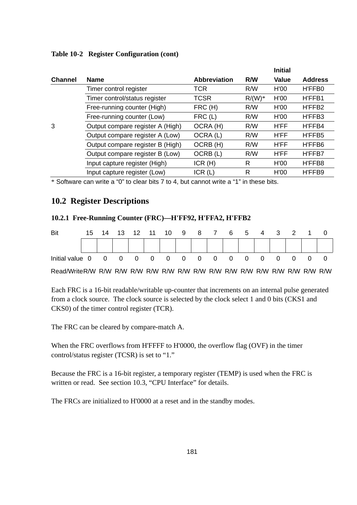|                                  |                     |          | <b>Initial</b> |                |
|----------------------------------|---------------------|----------|----------------|----------------|
| <b>Name</b>                      | <b>Abbreviation</b> | R/W      | Value          | <b>Address</b> |
| Timer control register           | TCR                 | R/W      | H'00           | H'FFB0         |
| Timer control/status register    | TCSR                | $R/(W)*$ | H'00           | H'FFB1         |
| Free-running counter (High)      | FRC (H)             | R/W      | H'00           | H'FFB2         |
| Free-running counter (Low)       | $FRC$ (L)           | R/W      | H'00           | H'FFB3         |
| Output compare register A (High) | OCRA (H)            | R/W      | <b>H'FF</b>    | H'FFB4         |
| Output compare register A (Low)  | OCRA (L)            | R/W      | <b>H'FF</b>    | H'FFB5         |
| Output compare register B (High) | OCRB (H)            | R/W      | <b>H'FF</b>    | H'FFB6         |
| Output compare register B (Low)  | OCRB (L)            | R/W      | <b>H'FF</b>    | H'FFB7         |
| Input capture register (High)    | ICR(H)              | R        | H'00           | H'FFB8         |
| Input capture register (Low)     | ICR(L)              | R        | H'00           | H'FFB9         |
|                                  |                     |          |                |                |

#### **Table 10-2 Register Configuration (cont)**

\* Software can write a "0" to clear bits 7 to 4, but cannot write a "1" in these bits.

# **10.2 Register Descriptions**

#### **10.2.1 Free-Running Counter (FRC)—H'FF92, H'FFA2, H'FFB2**

| Bit                                               |  |  |  |  |  |  |  | 15 14 13 12 11 10 9 8 7 6 5 4 3 2 1 0 |  |
|---------------------------------------------------|--|--|--|--|--|--|--|---------------------------------------|--|
|                                                   |  |  |  |  |  |  |  |                                       |  |
| Initial value 0 0 0 0 0 0 0 0 0 0 0 0 0 0 0 0 0 0 |  |  |  |  |  |  |  |                                       |  |
|                                                   |  |  |  |  |  |  |  |                                       |  |

Each FRC is a 16-bit readable/writable up-counter that increments on an internal pulse generated from a clock source. The clock source is selected by the clock select 1 and 0 bits (CKS1 and CKS0) of the timer control register (TCR).

The FRC can be cleared by compare-match A.

When the FRC overflows from H'FFFF to H'0000, the overflow flag (OVF) in the timer control/status register (TCSR) is set to "1."

Because the FRC is a 16-bit register, a temporary register (TEMP) is used when the FRC is written or read. See section 10.3, "CPU Interface" for details.

The FRCs are initialized to H'0000 at a reset and in the standby modes.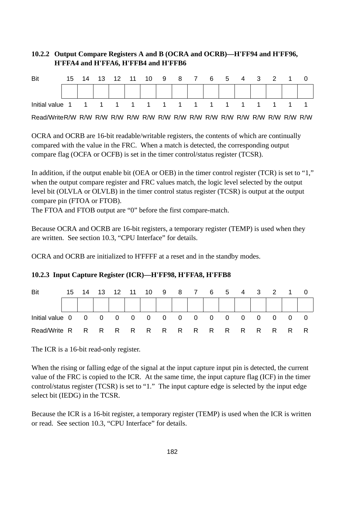### **10.2.2 Output Compare Registers A and B (OCRA and OCRB)—H'FF94 and H'FF96, H'FFA4 and H'FFA6, H'FFB4 and H'FFB6**

| Bit |  |  | 15 14 13 12 11 10 9 8 7 6 5 4 3 2 1 0 |  |  |  |  |  |
|-----|--|--|---------------------------------------|--|--|--|--|--|
|     |  |  |                                       |  |  |  |  |  |
|     |  |  |                                       |  |  |  |  |  |
|     |  |  |                                       |  |  |  |  |  |

Read/WriteR/W R/W R/W R/W R/W R/W R/W R/W R/W R/W R/W R/W R/W R/W R/W R/W

OCRA and OCRB are 16-bit readable/writable registers, the contents of which are continually compared with the value in the FRC. When a match is detected, the corresponding output compare flag (OCFA or OCFB) is set in the timer control/status register (TCSR).

In addition, if the output enable bit (OEA or OEB) in the timer control register (TCR) is set to "1," when the output compare register and FRC values match, the logic level selected by the output level bit (OLVLA or OLVLB) in the timer control status register (TCSR) is output at the output compare pin (FTOA or FTOB).

The FTOA and FTOB output are "0" before the first compare-match.

Because OCRA and OCRB are 16-bit registers, a temporary register (TEMP) is used when they are written. See section 10.3, "CPU Interface" for details.

OCRA and OCRB are initialized to H'FFFF at a reset and in the standby modes.

| Bit |  |  | 15 14 13 12 11 10 9 8 7 6 5 4 3 2 1 0 |  |  |  |  |  |
|-----|--|--|---------------------------------------|--|--|--|--|--|
|     |  |  |                                       |  |  |  |  |  |
|     |  |  |                                       |  |  |  |  |  |
|     |  |  |                                       |  |  |  |  |  |

#### **10.2.3 Input Capture Register (ICR)—H'FF98, H'FFA8, H'FFB8**

The ICR is a 16-bit read-only register.

When the rising or falling edge of the signal at the input capture input pin is detected, the current value of the FRC is copied to the ICR. At the same time, the input capture flag (ICF) in the timer control/status register (TCSR) is set to "1." The input capture edge is selected by the input edge select bit (IEDG) in the TCSR.

Because the ICR is a 16-bit register, a temporary register (TEMP) is used when the ICR is written or read. See section 10.3, "CPU Interface" for details.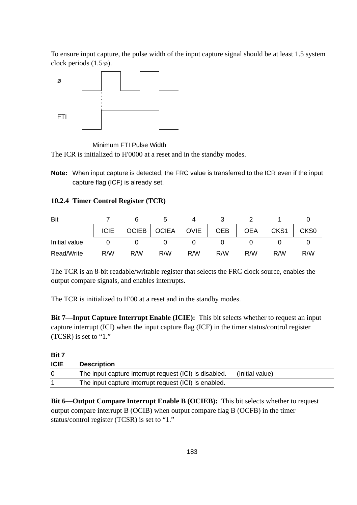To ensure input capture, the pulse width of the input capture signal should be at least 1.5 system clock periods (1.5·ø).



Minimum FTI Pulse Width

The ICR is initialized to H'0000 at a reset and in the standby modes.

**Note:** When input capture is detected, the FRC value is transferred to the ICR even if the input capture flag (ICF) is already set.

### **10.2.4 Timer Control Register (TCR)**

| Bit           |        |                      |     |     |     |     |                  |                  |
|---------------|--------|----------------------|-----|-----|-----|-----|------------------|------------------|
|               | $ICIE$ | OCIEB   OCIEA   OVIE |     |     |     | OEA | CKS <sub>1</sub> | CKS <sub>0</sub> |
| Initial value |        |                      |     |     |     |     |                  |                  |
| Read/Write    | R/M    | R/W                  | R/W | R/W | R/W | R/M | R/W              | R/M              |

The TCR is an 8-bit readable/writable register that selects the FRC clock source, enables the output compare signals, and enables interrupts.

The TCR is initialized to H'00 at a reset and in the standby modes.

**Bit 7—Input Capture Interrupt Enable (ICIE):** This bit selects whether to request an input capture interrupt (ICI) when the input capture flag (ICF) in the timer status/control register (TCSR) is set to "1."

#### **Bit 7**

| <b>ICIE</b> | Description                                            |                 |
|-------------|--------------------------------------------------------|-----------------|
|             | The input capture interrupt request (ICI) is disabled. | (Initial value) |
|             | The input capture interrupt request (ICI) is enabled.  |                 |

**Bit 6—Output Compare Interrupt Enable B (OCIEB):** This bit selects whether to request output compare interrupt B (OCIB) when output compare flag B (OCFB) in the timer status/control register (TCSR) is set to "1."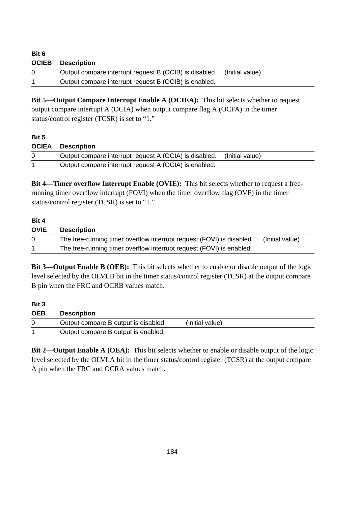| ט טוכ        |                                                        |                 |
|--------------|--------------------------------------------------------|-----------------|
| <b>OCIEB</b> | Description                                            |                 |
| -0           | Output compare interrupt request B (OCIB) is disabled. | (Initial value) |
|              | Output compare interrupt request B (OCIB) is enabled.  |                 |

**Bit 5—Output Compare Interrupt Enable A (OCIEA):** This bit selects whether to request output compare interrupt A (OCIA) when output compare flag A (OCFA) in the timer status/control register (TCSR) is set to "1."

#### **Bit 5**

**Bit 6**

| <b>OCIEA</b> Description                               |                 |
|--------------------------------------------------------|-----------------|
| Output compare interrupt request A (OCIA) is disabled. | (Initial value) |
| Output compare interrupt request A (OCIA) is enabled.  |                 |

**Bit 4—Timer overflow Interrupt Enable (OVIE):** This bit selects whether to request a freerunning timer overflow interrupt (FOVI) when the timer overflow flag (OVF) in the timer status/control register (TCSR) is set to "1."

#### **Bit 4**

| <b>OVIE</b> | <b>Description</b>                                                    |                 |
|-------------|-----------------------------------------------------------------------|-----------------|
|             | The free-running timer overflow interrupt request (FOVI) is disabled. | (Initial value) |
|             | The free-running timer overflow interrupt request (FOVI) is enabled.  |                 |

**Bit 3—Output Enable B (OEB):** This bit selects whether to enable or disable output of the logic level selected by the OLVLB bit in the timer status/control register (TCSR) at the output compare B pin when the FRC and OCRB values match.

#### **Bit 3**

| <b>OEB</b> | <b>Description</b>                   |                 |
|------------|--------------------------------------|-----------------|
|            | Output compare B output is disabled. | (Initial value) |
|            | Output compare B output is enabled.  |                 |

**Bit 2—Output Enable A (OEA):** This bit selects whether to enable or disable output of the logic level selected by the OLVLA bit in the timer status/control register (TCSR) at the output compare A pin when the FRC and OCRA values match.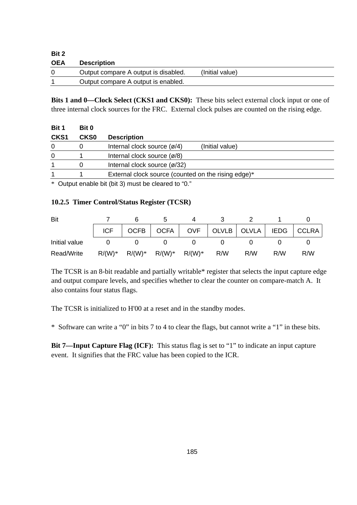| Bit 2      |                                      |                 |  |
|------------|--------------------------------------|-----------------|--|
| <b>OEA</b> | <b>Description</b>                   |                 |  |
|            | Output compare A output is disabled. | (Initial value) |  |
|            | Output compare A output is enabled.  |                 |  |

**Bits 1 and 0—Clock Select (CKS1 and CKS0):** These bits select external clock input or one of three internal clock sources for the FRC. External clock pulses are counted on the rising edge.

| Bit 1            | Bit 0       |                                                                          |
|------------------|-------------|--------------------------------------------------------------------------|
| CKS <sub>1</sub> | <b>CKS0</b> | <b>Description</b>                                                       |
| 0                |             | Internal clock source $\left(\frac{\alpha}{4}\right)$<br>(Initial value) |
| 0                |             | Internal clock source $\left(\frac{\alpha}{8}\right)$                    |
|                  |             | Internal clock source (ø/32)                                             |
|                  |             | External clock source (counted on the rising edge)*                      |
|                  |             |                                                                          |

\* Output enable bit (bit 3) must be cleared to "0."

#### **10.2.5 Timer Control/Status Register (TCSR)**

| Bit           |            |                               |  |     |                                                  |     |     |
|---------------|------------|-------------------------------|--|-----|--------------------------------------------------|-----|-----|
|               | <b>ICF</b> |                               |  |     | OCFB   OCFA   OVF   OLVLB   OLVLA   IEDG   CCLRA |     |     |
| Initial value |            |                               |  |     |                                                  |     |     |
| Read/Write    | $R/(W)*$   | $R/(W)^*$ $R/(W)^*$ $R/(W)^*$ |  | R/W | R/W                                              | R/W | R/W |

The TCSR is an 8-bit readable and partially writable\* register that selects the input capture edge and output compare levels, and specifies whether to clear the counter on compare-match A. It also contains four status flags.

The TCSR is initialized to H'00 at a reset and in the standby modes.

\* Software can write a "0" in bits 7 to 4 to clear the flags, but cannot write a "1" in these bits.

**Bit 7—Input Capture Flag (ICF):** This status flag is set to "1" to indicate an input capture event. It signifies that the FRC value has been copied to the ICR.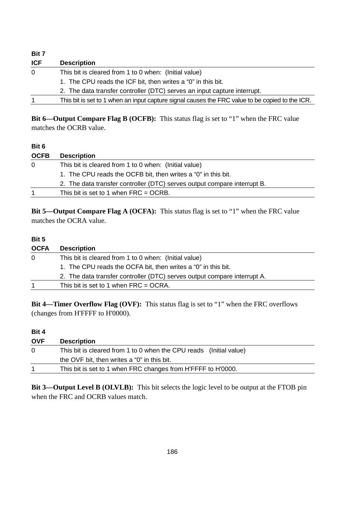| Bit 7      |                                                                                                 |
|------------|-------------------------------------------------------------------------------------------------|
| <b>ICF</b> | <b>Description</b>                                                                              |
| $\Omega$   | This bit is cleared from 1 to 0 when: (Initial value)                                           |
|            | 1. The CPU reads the ICF bit, then writes a "0" in this bit.                                    |
|            | 2. The data transfer controller (DTC) serves an input capture interrupt.                        |
|            | This bit is set to 1 when an input capture signal causes the FRC value to be copied to the ICR. |
|            |                                                                                                 |

**Bit 6—Output Compare Flag B (OCFB):** This status flag is set to "1" when the FRC value matches the OCRB value.

#### **Bit 6**

| <b>OCFB</b> | <b>Description</b>                                                       |
|-------------|--------------------------------------------------------------------------|
| 0           | This bit is cleared from 1 to 0 when: (Initial value)                    |
|             | 1. The CPU reads the OCFB bit, then writes a "0" in this bit.            |
|             | 2. The data transfer controller (DTC) serves output compare interrupt B. |
|             | This bit is set to 1 when $FRC = OCRB$ .                                 |

**Bit 5—Output Compare Flag A (OCFA):** This status flag is set to "1" when the FRC value matches the OCRA value.

#### **Bit 5**

| <b>OCFA</b>                                                       | <b>Description</b>                                                       |
|-------------------------------------------------------------------|--------------------------------------------------------------------------|
| This bit is cleared from 1 to 0 when: (Initial value)<br>$\Omega$ |                                                                          |
|                                                                   | 1. The CPU reads the OCFA bit, then writes a "0" in this bit.            |
|                                                                   | 2. The data transfer controller (DTC) serves output compare interrupt A. |
|                                                                   | This bit is set to 1 when $FRC = OCRA$ .                                 |

**Bit 4—Timer Overflow Flag (OVF):** This status flag is set to "1" when the FRC overflows (changes from H'FFFF to H'0000).

#### **Bit 4**

| <b>OVF</b> | <b>Description</b>                                                 |  |
|------------|--------------------------------------------------------------------|--|
| $\Omega$   | This bit is cleared from 1 to 0 when the CPU reads (Initial value) |  |
|            | the OVF bit, then writes a "0" in this bit.                        |  |
|            | This bit is set to 1 when FRC changes from H'FFFF to H'0000.       |  |

**Bit 3—Output Level B (OLVLB):** This bit selects the logic level to be output at the FTOB pin when the FRC and OCRB values match.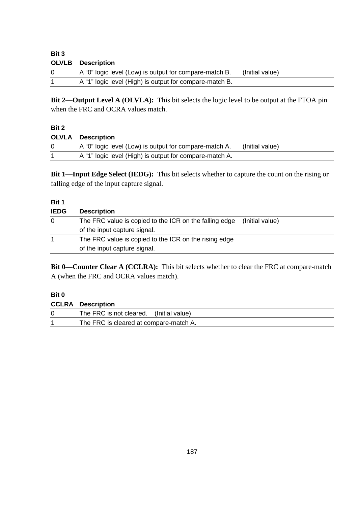| Bit 3    |                                                         |                 |
|----------|---------------------------------------------------------|-----------------|
|          | <b>OLVLB</b> Description                                |                 |
| $\Omega$ | A "0" logic level (Low) is output for compare-match B.  | (Initial value) |
|          | A "1" logic level (High) is output for compare-match B. |                 |

**Bit 2—Output Level A (OLVLA):** This bit selects the logic level to be output at the FTOA pin when the FRC and OCRA values match.

#### **Bit 2**

#### **OLVLA Description**

| A "0" logic level (Low) is output for compare-match A.  | (Initial value) |
|---------------------------------------------------------|-----------------|
| A "1" logic level (High) is output for compare-match A. |                 |
|                                                         |                 |

**Bit 1—Input Edge Select (IEDG):** This bit selects whether to capture the count on the rising or falling edge of the input capture signal.

#### **Bit 1**

| <b>IEDG</b> | <b>Description</b>                                     |                 |
|-------------|--------------------------------------------------------|-----------------|
| 0           | The FRC value is copied to the ICR on the falling edge | (Initial value) |
|             | of the input capture signal.                           |                 |
| 1           | The FRC value is copied to the ICR on the rising edge  |                 |
|             | of the input capture signal.                           |                 |

**Bit 0—Counter Clear A (CCLRA):** This bit selects whether to clear the FRC at compare-match A (when the FRC and OCRA values match).

#### **Bit 0**

|          | <b>CCLRA Description</b>                |
|----------|-----------------------------------------|
| $\Omega$ | The FRC is not cleared. (Initial value) |
|          | The FRC is cleared at compare-match A.  |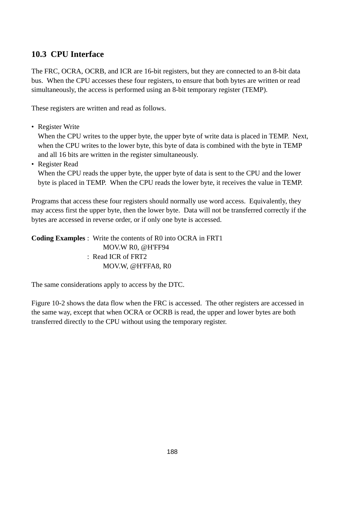# **10.3 CPU Interface**

The FRC, OCRA, OCRB, and ICR are 16-bit registers, but they are connected to an 8-bit data bus. When the CPU accesses these four registers, to ensure that both bytes are written or read simultaneously, the access is performed using an 8-bit temporary register (TEMP).

These registers are written and read as follows.

• Register Write

When the CPU writes to the upper byte, the upper byte of write data is placed in TEMP. Next, when the CPU writes to the lower byte, this byte of data is combined with the byte in TEMP and all 16 bits are written in the register simultaneously.

• Register Read

When the CPU reads the upper byte, the upper byte of data is sent to the CPU and the lower byte is placed in TEMP. When the CPU reads the lower byte, it receives the value in TEMP.

Programs that access these four registers should normally use word access. Equivalently, they may access first the upper byte, then the lower byte. Data will not be transferred correctly if the bytes are accessed in reverse order, or if only one byte is accessed.

**Coding Examples** : Write the contents of R0 into OCRA in FRT1 MOV.W R0, @H'FF94 : Read ICR of FRT2 MOV.W, @H'FFA8, R0

The same considerations apply to access by the DTC.

Figure 10-2 shows the data flow when the FRC is accessed. The other registers are accessed in the same way, except that when OCRA or OCRB is read, the upper and lower bytes are both transferred directly to the CPU without using the temporary register.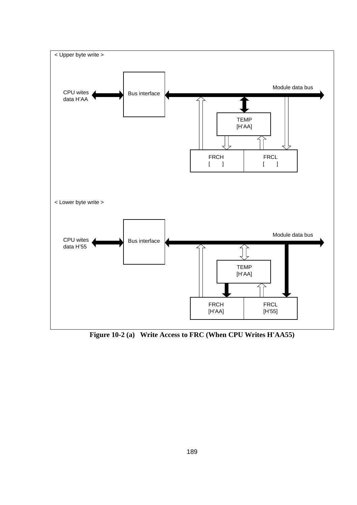

**Figure 10-2 (a) Write Access to FRC (When CPU Writes H'AA55)**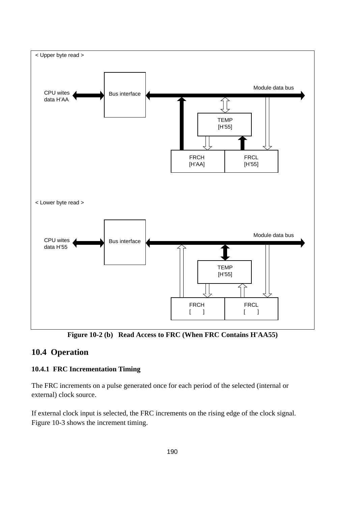

**Figure 10-2 (b) Read Access to FRC (When FRC Contains H'AA55)**

# **10.4 Operation**

# **10.4.1 FRC Incrementation Timing**

The FRC increments on a pulse generated once for each period of the selected (internal or external) clock source.

If external clock input is selected, the FRC increments on the rising edge of the clock signal. Figure 10-3 shows the increment timing.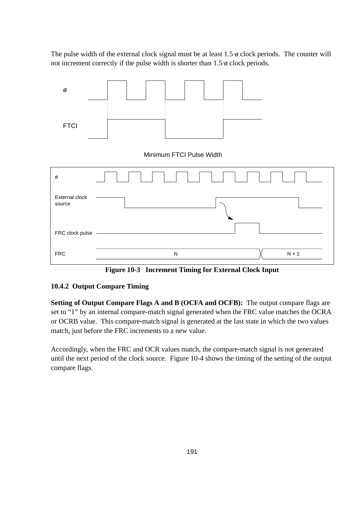The pulse width of the external clock signal must be at least  $1.5\phi$  clock periods. The counter will not increment correctly if the pulse width is shorter than 1.5·ø clock periods.



**Figure 10-3 Increment Timing for External Clock Input**

#### **10.4.2 Output Compare Timing**

**Setting of Output Compare Flags A and B (OCFA and OCFB):** The output compare flags are set to "1" by an internal compare-match signal generated when the FRC value matches the OCRA or OCRB value. This compare-match signal is generated at the last state in which the two values match, just before the FRC increments to a new value.

Accordingly, when the FRC and OCR values match, the compare-match signal is not generated until the next period of the clock source. Figure 10-4 shows the timing of the setting of the output compare flags.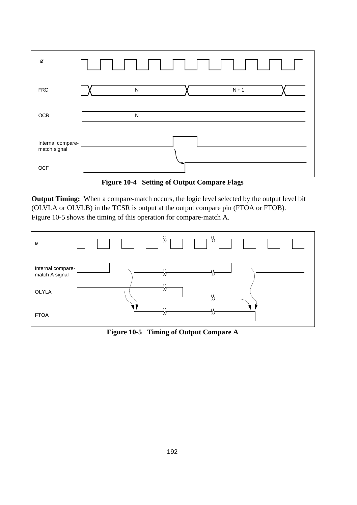| Ø                                 |   |         |  |
|-----------------------------------|---|---------|--|
| <b>FRC</b>                        | N | $N + 1$ |  |
| <b>OCR</b>                        | N |         |  |
| Internal compare-<br>match signal |   |         |  |
| <b>OCF</b>                        |   |         |  |

**Figure 10-4 Setting of Output Compare Flags**

**Output Timing:** When a compare-match occurs, the logic level selected by the output level bit (OLVLA or OLVLB) in the TCSR is output at the output compare pin (FTOA or FTOB). Figure 10-5 shows the timing of this operation for compare-match A.



**Figure 10-5 Timing of Output Compare A**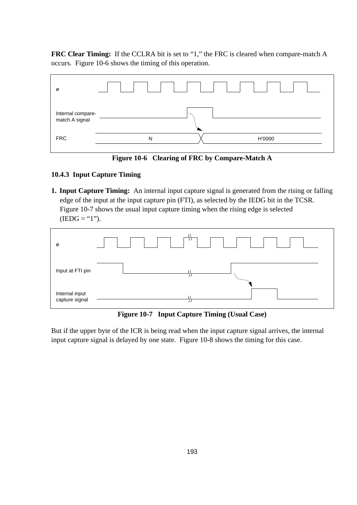**FRC Clear Timing:** If the CCLRA bit is set to "1," the FRC is cleared when compare-match A occurs. Figure 10-6 shows the timing of this operation.



**Figure 10-6 Clearing of FRC by Compare-Match A**

#### **10.4.3 Input Capture Timing**

**1. Input Capture Timing:** An internal input capture signal is generated from the rising or falling edge of the input at the input capture pin (FTI), as selected by the IEDG bit in the TCSR. Figure 10-7 shows the usual input capture timing when the rising edge is selected  $(IEDG = "1").$ 



**Figure 10-7 Input Capture Timing (Usual Case)**

But if the upper byte of the ICR is being read when the input capture signal arrives, the internal input capture signal is delayed by one state. Figure 10-8 shows the timing for this case.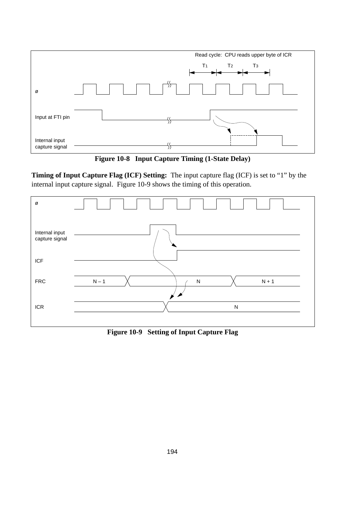

**Figure 10-8 Input Capture Timing (1-State Delay)**

**Timing of Input Capture Flag (ICF) Setting:** The input capture flag (ICF) is set to "1" by the internal input capture signal. Figure 10-9 shows the timing of this operation.



**Figure 10-9 Setting of Input Capture Flag**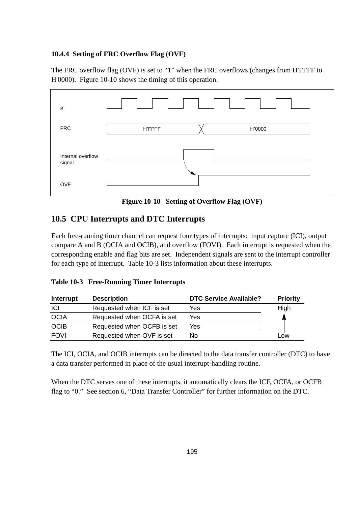#### **10.4.4 Setting of FRC Overflow Flag (OVF)**

The FRC overflow flag (OVF) is set to "1" when the FRC overflows (changes from H'FFFF to H'0000). Figure 10-10 shows the timing of this operation.



**Figure 10-10 Setting of Overflow Flag (OVF)**

# **10.5 CPU Interrupts and DTC Interrupts**

Each free-running timer channel can request four types of interrupts: input capture (ICI), output compare A and B (OCIA and OCIB), and overflow (FOVI). Each interrupt is requested when the corresponding enable and flag bits are set. Independent signals are sent to the interrupt controller for each type of interrupt. Table 10-3 lists information about these interrupts.

#### **Table 10-3 Free-Running Timer Interrupts**

| Interrupt   | <b>Description</b>         | <b>DTC Service Available?</b> | <b>Priority</b> |
|-------------|----------------------------|-------------------------------|-----------------|
| <b>ICI</b>  | Requested when ICF is set  | Yes                           | High            |
| <b>OCIA</b> | Requested when OCFA is set | Yes                           |                 |
| <b>OCIB</b> | Requested when OCFB is set | Yes                           |                 |
| <b>FOVI</b> | Requested when OVF is set  | No                            | Low             |

The ICI, OCIA, and OCIB interrupts can be directed to the data transfer controller (DTC) to have a data transfer performed in place of the usual interrupt-handling routine.

When the DTC serves one of these interrupts, it automatically clears the ICF, OCFA, or OCFB flag to "0." See section 6, "Data Transfer Controller" for further information on the DTC.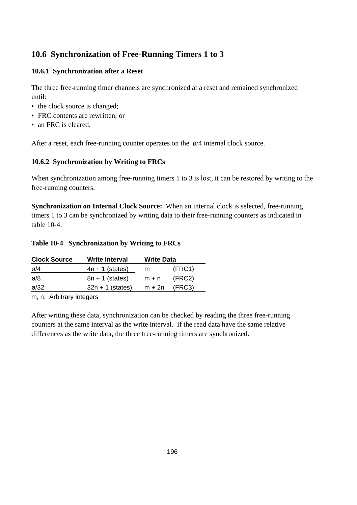# **10.6 Synchronization of Free-Running Timers 1 to 3**

### **10.6.1 Synchronization after a Reset**

The three free-running timer channels are synchronized at a reset and remained synchronized until:

- the clock source is changed;
- FRC contents are rewritten; or
- an FRC is cleared.

After a reset, each free-running counter operates on the ø/4 internal clock source.

### **10.6.2 Synchronization by Writing to FRCs**

When synchronization among free-running timers 1 to 3 is lost, it can be restored by writing to the free-running counters.

**Synchronization on Internal Clock Source:** When an internal clock is selected, free-running timers 1 to 3 can be synchronized by writing data to their free-running counters as indicated in table 10-4.

#### **Table 10-4 Synchronization by Writing to FRCs**

| <b>Clock Source</b> | <b>Write Interval</b> | <b>Write Data</b> |        |  |
|---------------------|-----------------------|-------------------|--------|--|
| ø/4                 | $4n + 1$ (states)     | m                 | (FRC1) |  |
| ø/8                 | $8n + 1$ (states)     | $m + n$           | (FRC2) |  |
| $\varnothing$ /32   | $32n + 1$ (states)    | $m + 2n$          | (FRC3) |  |
|                     |                       |                   |        |  |

m, n: Arbitrary integers

After writing these data, synchronization can be checked by reading the three free-running counters at the same interval as the write interval. If the read data have the same relative differences as the write data, the three free-running timers are synchronized.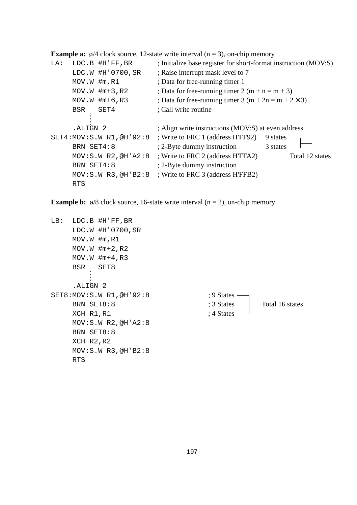**Example a:**  $\phi$ /4 clock source, 12-state write interval (n = 3), on-chip memory

```
LA: LDC.B #H'FF, BR ; Initialize base register for short-format instruction (MOV:S)
      LDC.W #H'0700, SR ; Raise interrupt mask level to 7
      MOV.W \text{Im} \times \text{R1} ; Data for free-running timer 1
     MOV. W \text{Hm+3}, R2 ; Data for free-running timer 2 (m + n = m + 3)
      MOV.W \#m+6, R3 ; Data for free-running timer 3 (m + 2n = m + 2 × 3)
      BSR SET4 ; Call write routine
      .ALIGN 2 ; Align write instructions (MOV:S) at even address
SET4: MOV: S. W R1, @H'92:8 ; Write to FRC 1 (address H'FF92) 9 states -
      BRN SET4:8 ; 2-Byte dummy instruction 3 states -
      MOV:S.W R2,@H'A2:8 ; Write to FRC 2 (address H'FFA2) Total 12 states
      BRN SET4:8 ; 2-Byte dummy instruction
      MOV:S.W R3,@H'B2:8 ; Write to FRC 3 (address H'FFB2)
      RTS
```
**Example b:**  $\phi$ /8 clock source, 16-state write interval (n = 2), on-chip memory

LB: LDC.B #H'FF,BR LDC.W #H'0700,SR MOV.W #m,R1  $MOV.W$   $\#m+2$ , R2  $MOV.W$  #m+4, R3 BSR SET8 .ALIGN 2 SET8: MOV: S. W R1, @H' 92: 8 ; 9 States : BRN SET8:8 ; 3 States Total 16 states XCH R1, R1 ; 4 States -MOV:S.W R2,@H'A2:8 BRN SET8:8 XCH R2,R2 MOV:S.W R3,@H'B2:8 RTS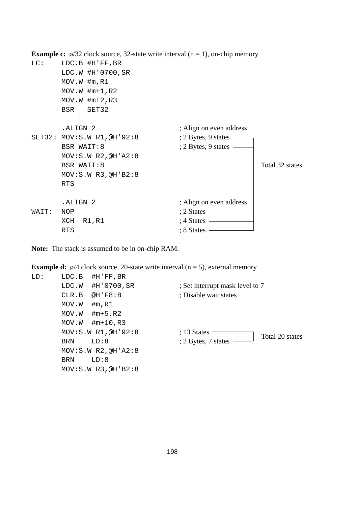**Example c:**  $\phi$ /32 clock source, 32-state write interval (n = 1), on-chip memory

```
LC: LDC.B #H'FF, BR
      LDC.W #H'0700,SR
      MOV.W #m,R1
      MOV.W #m+1,R2
      MOV.W \#m+2, R3BSR SET32
         ŧ
      .ALIGN 2 ; Align on even address
SET32: MOV: S.W R1, @H'92:8 ; 2 Bytes, 9 states -
      BSR WAIT:8 ; 2 Bytes, 9 states –
      MOV:S.W R2,@H'A2:8
      BSR WAIT:8 Total 32 states
      MOV:S.W R3,@H'B2:8
      RTS
      .ALIGN 2 ; Align on even address
WAIT: NOP : 2 States \longrightarrowXCH R1, R1 ; 4 States \overline{\phantom{a}}RTS \qquad \qquad ; 8 \text{ States} \longrightarrow
```
**Note:** The stack is assumed to be in on-chip RAM.

LD: LDC.B #H'FF,BR #H'FF,BR #H'FF,BR

**Example d:**  $\phi$ /4 clock source, 20-state write interval (n = 5), external memory

| LD: | LDC.B #H'FF,BR         |                                  |
|-----|------------------------|----------------------------------|
|     | #H'0700,SR<br>LDC.W    | ; Set interrupt mask level to 7  |
|     | @H'FB:8<br>CLR.B       | : Disable wait states            |
|     | MOV.W<br>$\#$ m, R $1$ |                                  |
|     | $\#m+5$ , R2<br>MOV.W  |                                  |
|     | #m+10,R3<br>MOV.W      |                                  |
|     | MOV: S.W R1, @H'92:8   | $: 13$ States<br>Total 20 states |
|     | LD:8<br><b>BRN</b>     | : 2 Bytes, 7 states              |
|     | MOV: S.W R2, @H' A2:8  |                                  |
|     | LD:8<br>BRN            |                                  |
|     | MOV: S.W R3, @H'B2:8   |                                  |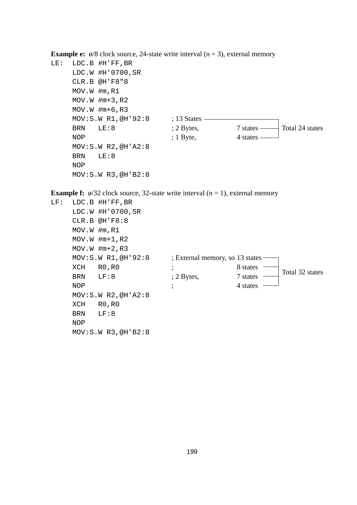**Example e:**  $\phi$ /8 clock source, 24-state write interval (n = 3), external memory

```
LE: LDC.B #H'FF,BR
    LDC.W #H'0700,SR
    CLR.B @H'F8"8
    MOV.W #m,R1
    MOV.W \#m+3, R2MOV.W #m+6,R3
    MOV: S.W R1, @H'92:8 ; 13 States -
    BRN LE:8 : 2 Bytes, 7 states Total 24 states
    NOP ; 1 \text{ Byte}, 4 states -
    MOV:S.W R2,@H'A2:8
    BRN LE:8
    NOP
    MOV:S.W R3,@H'B2:8
```
**Example f:**  $\phi$ /32 clock source, 32-state write interval (n = 1), external memory

LF: LDC.B #H'FF,BR LDC.W #H'0700,SR CLR.B @H'F8:8 MOV.W #m,R1 MOV.W #m+1,R2  $MOV.W$   $\#m+2$ ,  $R3$ MOV: S.W R1, @H'92:8 ; External memory, so 13 states -XCH RO, RO ; 8 states BRN LF:8 ; 2 Bytes, 7 states NOP ; the states is the states in the states in the states in the states in the states in the states in the states in the states in the states in the states in the states in the state is  $\frac{1}{2}$  in the state in the state MOV:S.W R2,@H'A2:8 XCH R0,R0 BRN LF:8 NOP MOV:S.W R3,@H'B2:8 Total 32 states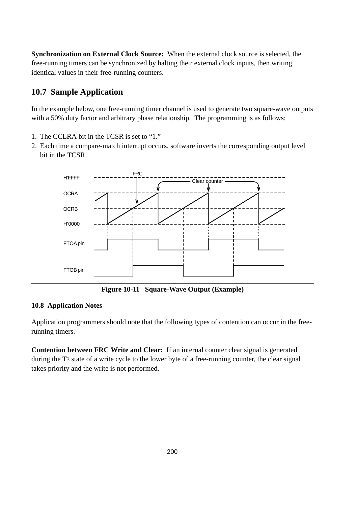**Synchronization on External Clock Source:** When the external clock source is selected, the free-running timers can be synchronized by halting their external clock inputs, then writing identical values in their free-running counters.

# **10.7 Sample Application**

In the example below, one free-running timer channel is used to generate two square-wave outputs with a 50% duty factor and arbitrary phase relationship. The programming is as follows:

- 1. The CCLRA bit in the TCSR is set to "1."
- 2. Each time a compare-match interrupt occurs, software inverts the corresponding output level bit in the TCSR.



**Figure 10-11 Square-Wave Output (Example)**

### **10.8 Application Notes**

Application programmers should note that the following types of contention can occur in the freerunning timers.

**Contention between FRC Write and Clear:** If an internal counter clear signal is generated during the T3 state of a write cycle to the lower byte of a free-running counter, the clear signal takes priority and the write is not performed.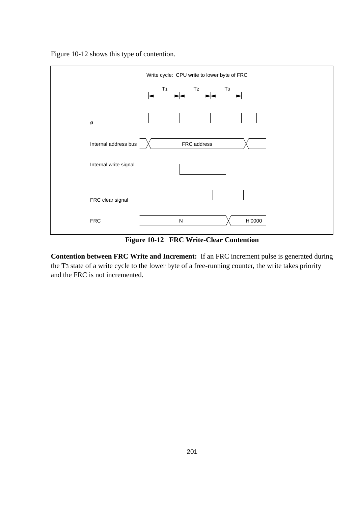Figure 10-12 shows this type of contention.



**Figure 10-12 FRC Write-Clear Contention**

**Contention between FRC Write and Increment:** If an FRC increment pulse is generated during the T3 state of a write cycle to the lower byte of a free-running counter, the write takes priority and the FRC is not incremented.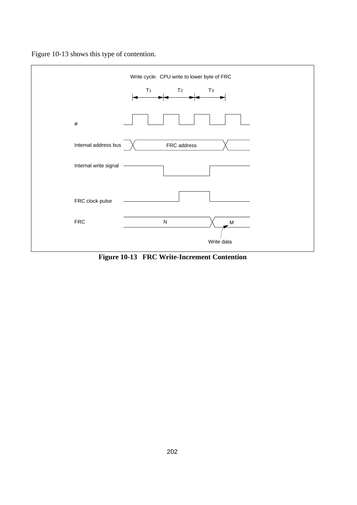



**Figure 10-13 FRC Write-Increment Contention**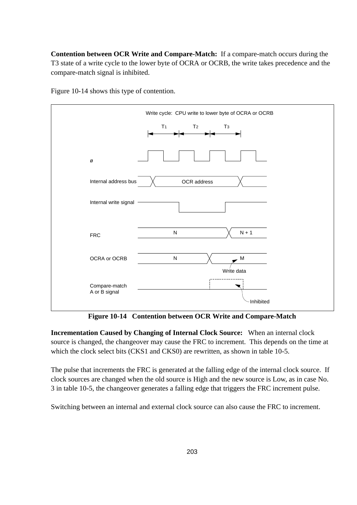**Contention between OCR Write and Compare-Match:** If a compare-match occurs during the T3 state of a write cycle to the lower byte of OCRA or OCRB, the write takes precedence and the compare-match signal is inhibited.



Figure 10-14 shows this type of contention.

**Figure 10-14 Contention between OCR Write and Compare-Match**

**Incrementation Caused by Changing of Internal Clock Source:** When an internal clock source is changed, the changeover may cause the FRC to increment. This depends on the time at which the clock select bits (CKS1 and CKS0) are rewritten, as shown in table 10-5.

The pulse that increments the FRC is generated at the falling edge of the internal clock source. If clock sources are changed when the old source is High and the new source is Low, as in case No. 3 in table 10-5, the changeover generates a falling edge that triggers the FRC increment pulse.

Switching between an internal and external clock source can also cause the FRC to increment.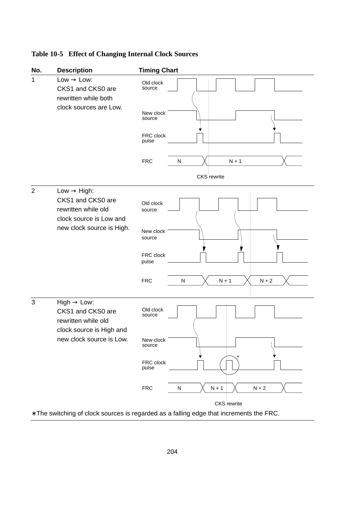### **Table 10-5 Effect of Changing Internal Clock Sources**



∗ The switching of clock sources is regarded as a falling edge that increments the FRC.